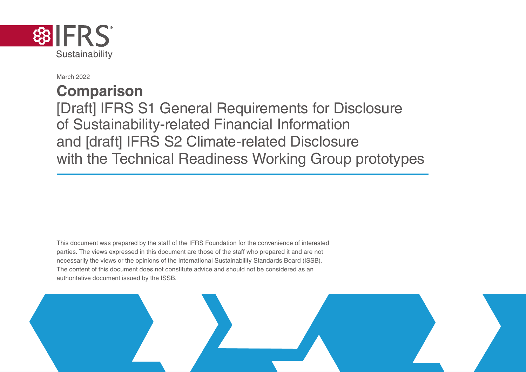

March 2022

## **Comparison**

[Draft] IFRS S1 General Requirements for Disclosure of Sustainability-related Financial Information and [draft] IFRS S2 Climate-related Disclosure with the Technical Readiness Working Group prototypes

This document was prepared by the staff of the IFRS Foundation for the convenience of interested parties. The views expressed in this document are those of the staff who prepared it and are not necessarily the views or the opinions of the International Sustainability Standards Board (ISSB). The content of this document does not constitute advice and should not be considered as an authoritative document issued by the ISSB.

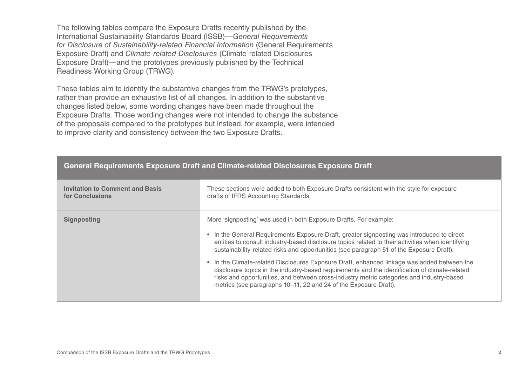The following tables compare the Exposure Drafts recently published by the International Sustainability Standards Board (ISSB)—*General Requirements for Disclosure of Sustainability-related Financial Information* (General Requirements Exposure Draft) and *Climate-related Disclosures* (Climate-related Disclosures Exposure Draft)—and the prototypes previously published by the Technical Readiness Working Group (TRWG).

These tables aim to identify the substantive changes from the TRWG's prototypes, rather than provide an exhaustive list of all changes. In addition to the substantive changes listed below, some wording changes have been made throughout the Exposure Drafts. Those wording changes were not intended to change the substance of the proposals compared to the prototypes but instead, for example, were intended to improve clarity and consistency between the two Exposure Drafts.

| <b>Invitation to Comment and Basis</b> | These sections were added to both Exposure Drafts consistent with the style for exposure                                                                                                                                                                                                                                                                                                                                                                                                                                                                                                                                                                                                                                          |
|----------------------------------------|-----------------------------------------------------------------------------------------------------------------------------------------------------------------------------------------------------------------------------------------------------------------------------------------------------------------------------------------------------------------------------------------------------------------------------------------------------------------------------------------------------------------------------------------------------------------------------------------------------------------------------------------------------------------------------------------------------------------------------------|
| for Conclusions                        | drafts of IFRS Accounting Standards.                                                                                                                                                                                                                                                                                                                                                                                                                                                                                                                                                                                                                                                                                              |
| <b>Signposting</b>                     | More 'signposting' was used in both Exposure Drafts. For example:<br>• In the General Requirements Exposure Draft, greater signposting was introduced to direct<br>entities to consult industry-based disclosure topics related to their activities when identifying<br>sustainability-related risks and opportunities (see paragraph 51 of the Exposure Draft).<br>• In the Climate-related Disclosures Exposure Draft, enhanced linkage was added between the<br>disclosure topics in the industry-based requirements and the identification of climate-related<br>risks and opportunities, and between cross-industry metric categories and industry-based<br>metrics (see paragraphs 10–11, 22 and 24 of the Exposure Draft). |

## **General Requirements Exposure Draft and Climate-related Disclosures Exposure Draft**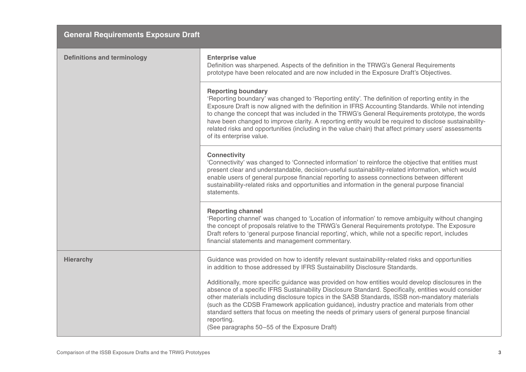| <b>General Requirements Exposure Draft</b> |  |
|--------------------------------------------|--|
|--------------------------------------------|--|

| <b>Enterprise value</b><br>Definition was sharpened. Aspects of the definition in the TRWG's General Requirements<br>prototype have been relocated and are now included in the Exposure Draft's Objectives.                                                                                                                                                                                                                                                                                                                                                                                                                                                                                                                                                       |
|-------------------------------------------------------------------------------------------------------------------------------------------------------------------------------------------------------------------------------------------------------------------------------------------------------------------------------------------------------------------------------------------------------------------------------------------------------------------------------------------------------------------------------------------------------------------------------------------------------------------------------------------------------------------------------------------------------------------------------------------------------------------|
| <b>Reporting boundary</b><br>'Reporting boundary' was changed to 'Reporting entity'. The definition of reporting entity in the<br>Exposure Draft is now aligned with the definition in IFRS Accounting Standards. While not intending<br>to change the concept that was included in the TRWG's General Requirements prototype, the words<br>have been changed to improve clarity. A reporting entity would be required to disclose sustainability-<br>related risks and opportunities (including in the value chain) that affect primary users' assessments<br>of its enterprise value.                                                                                                                                                                           |
| <b>Connectivity</b><br>'Connectivity' was changed to 'Connected information' to reinforce the objective that entities must<br>present clear and understandable, decision-useful sustainability-related information, which would<br>enable users of general purpose financial reporting to assess connections between different<br>sustainability-related risks and opportunities and information in the general purpose financial<br>statements.                                                                                                                                                                                                                                                                                                                  |
| <b>Reporting channel</b><br>'Reporting channel' was changed to 'Location of information' to remove ambiguity without changing<br>the concept of proposals relative to the TRWG's General Requirements prototype. The Exposure<br>Draft refers to 'general purpose financial reporting', which, while not a specific report, includes<br>financial statements and management commentary.                                                                                                                                                                                                                                                                                                                                                                           |
| Guidance was provided on how to identify relevant sustainability-related risks and opportunities<br>in addition to those addressed by IFRS Sustainability Disclosure Standards.<br>Additionally, more specific guidance was provided on how entities would develop disclosures in the<br>absence of a specific IFRS Sustainability Disclosure Standard. Specifically, entities would consider<br>other materials including disclosure topics in the SASB Standards, ISSB non-mandatory materials<br>(such as the CDSB Framework application guidance), industry practice and materials from other<br>standard setters that focus on meeting the needs of primary users of general purpose financial<br>reporting.<br>(See paragraphs 50-55 of the Exposure Draft) |
|                                                                                                                                                                                                                                                                                                                                                                                                                                                                                                                                                                                                                                                                                                                                                                   |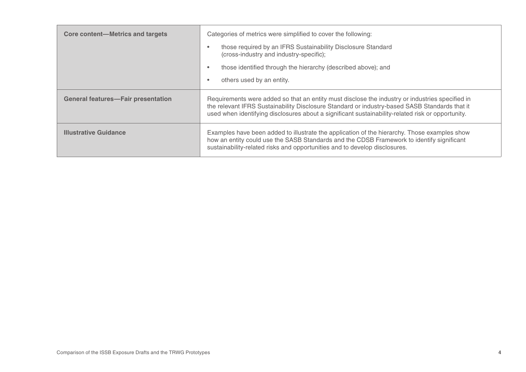| Core content—Metrics and targets          | Categories of metrics were simplified to cover the following:<br>those required by an IFRS Sustainability Disclosure Standard<br>٠<br>(cross-industry and industry-specific);<br>those identified through the hierarchy (described above); and<br>٠<br>others used by an entity.<br>٠                 |
|-------------------------------------------|-------------------------------------------------------------------------------------------------------------------------------------------------------------------------------------------------------------------------------------------------------------------------------------------------------|
| <b>General features-Fair presentation</b> | Requirements were added so that an entity must disclose the industry or industries specified in<br>the relevant IFRS Sustainability Disclosure Standard or industry-based SASB Standards that it<br>used when identifying disclosures about a significant sustainability-related risk or opportunity. |
| <b>Illustrative Guidance</b>              | Examples have been added to illustrate the application of the hierarchy. Those examples show<br>how an entity could use the SASB Standards and the CDSB Framework to identify significant<br>sustainability-related risks and opportunities and to develop disclosures.                               |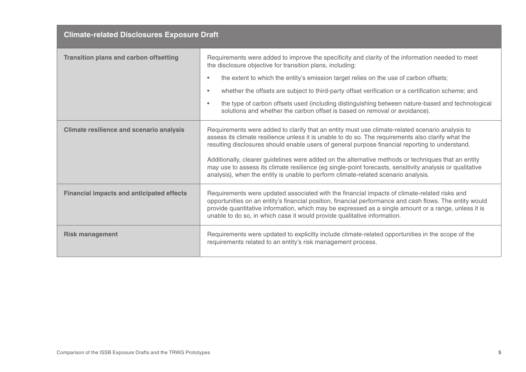| <b>Climate-related Disclosures Exposure Draft</b> |                                                                                                                                                                                                                                                                                                                                                                                                                                                                                                                                                                                                                   |
|---------------------------------------------------|-------------------------------------------------------------------------------------------------------------------------------------------------------------------------------------------------------------------------------------------------------------------------------------------------------------------------------------------------------------------------------------------------------------------------------------------------------------------------------------------------------------------------------------------------------------------------------------------------------------------|
| <b>Transition plans and carbon offsetting</b>     | Requirements were added to improve the specificity and clarity of the information needed to meet<br>the disclosure objective for transition plans, including:<br>the extent to which the entity's emission target relies on the use of carbon offsets;<br>$\bullet$<br>whether the offsets are subject to third-party offset verification or a certification scheme; and<br>$\bullet$<br>the type of carbon offsets used (including distinguishing between nature-based and technological<br>$\bullet$<br>solutions and whether the carbon offset is based on removal or avoidance).                              |
| <b>Climate resilience and scenario analysis</b>   | Requirements were added to clarify that an entity must use climate-related scenario analysis to<br>assess its climate resilience unless it is unable to do so. The requirements also clarify what the<br>resulting disclosures should enable users of general purpose financial reporting to understand.<br>Additionally, clearer guidelines were added on the alternative methods or techniques that an entity<br>may use to assess its climate resilience (eg single-point forecasts, sensitivity analysis or qualitative<br>analysis), when the entity is unable to perform climate-related scenario analysis. |
| <b>Financial impacts and anticipated effects</b>  | Requirements were updated associated with the financial impacts of climate-related risks and<br>opportunities on an entity's financial position, financial performance and cash flows. The entity would<br>provide quantitative information, which may be expressed as a single amount or a range, unless it is<br>unable to do so, in which case it would provide qualitative information.                                                                                                                                                                                                                       |
| <b>Risk management</b>                            | Requirements were updated to explicitly include climate-related opportunities in the scope of the<br>requirements related to an entity's risk management process.                                                                                                                                                                                                                                                                                                                                                                                                                                                 |